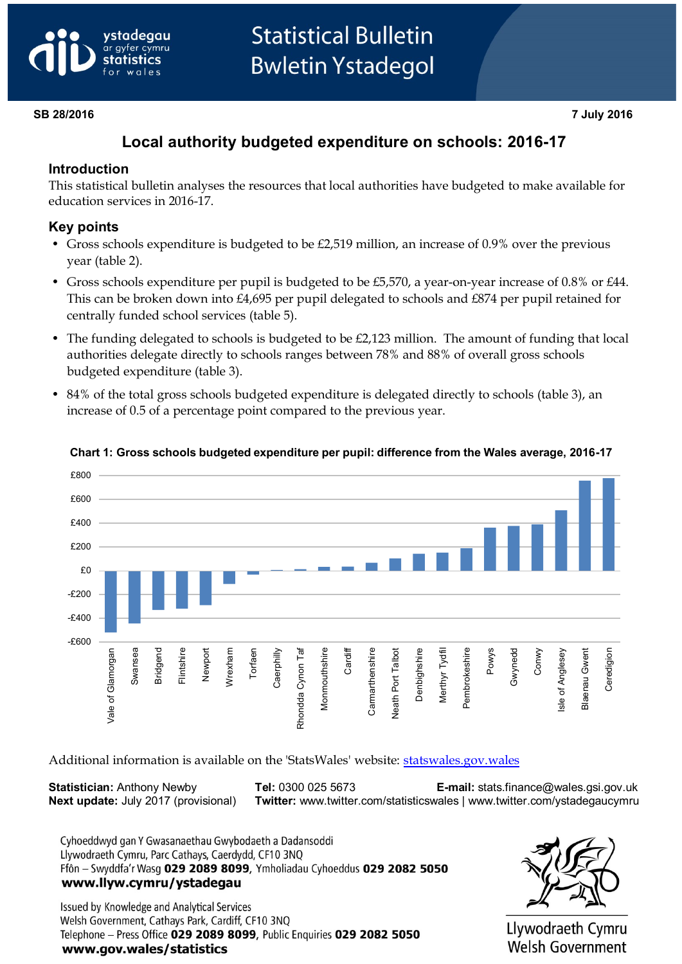# vstadeaau gyfer cymru

# **Statistical Bulletin Bwletin Ystadegol**

#### **SB 28/2016 7 July 2016**

# **Local authority budgeted expenditure on schools: 2016-17**

### **Introduction**

This statistical bulletin analyses the resources that local authorities have budgeted to make available for education services in 2016-17.

### **Key points**

- Gross schools expenditure is budgeted to be £2,519 million, an increase of 0.9% over the previous year (table 2).
- Gross schools expenditure per pupil is budgeted to be £5,570, a year-on-year increase of 0.8% or £44. This can be broken down into £4,695 per pupil delegated to schools and £874 per pupil retained for centrally funded school services (table 5).
- The funding delegated to schools is budgeted to be £2,123 million. The amount of funding that local authorities delegate directly to schools ranges between 78% and 88% of overall gross schools budgeted expenditure (table 3).
- 84% of the total gross schools budgeted expenditure is delegated directly to schools (table 3), an increase of 0.5 of a percentage point compared to the previous year.



#### **Chart 1: Gross schools budgeted expenditure per pupil: difference from the Wales average, 2016-17**

Additional information is available on the 'StatsWales' website: [statswales.gov.wales](https://statswales.gov.wales/)

**Statistician:** Anthony Newby **Tel:** 0300 025 5673 **E-mail:** stats.finance@wales.gsi.gov.uk **Next update:** July 2017 (provisional) **Twitter:** www.twitter.com/statisticswales | www.twitter.com/ystadegaucymru

Cyhoeddwyd gan Y Gwasanaethau Gwybodaeth a Dadansoddi Llywodraeth Cymru, Parc Cathays, Caerdydd, CF10 3NQ Ffôn - Swyddfa'r Wasg 029 2089 8099, Ymholiadau Cyhoeddus 029 2082 5050 www.llyw.cymru/ystadegau

Issued by Knowledge and Analytical Services Welsh Government, Cathays Park, Cardiff, CF10 3NQ Telephone - Press Office 029 2089 8099, Public Enquiries 029 2082 5050 www.gov.wales/statistics



Llywodraeth Cymru Welsh Government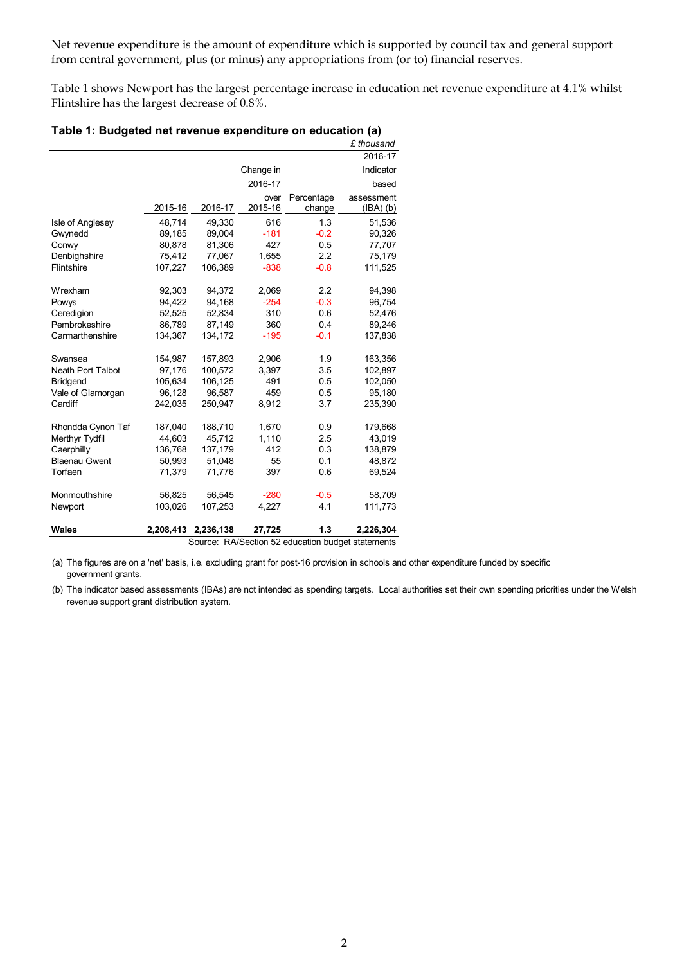Net revenue expenditure is the amount of expenditure which is supported by council tax and general support from central government, plus (or minus) any appropriations from (or to) financial reserves.

Table 1 shows Newport has the largest percentage increase in education net revenue expenditure at 4.1% whilst Flintshire has the largest decrease of 0.8%.

|                          |           |           |           |            | £ thousand |
|--------------------------|-----------|-----------|-----------|------------|------------|
|                          |           |           |           |            | 2016-17    |
|                          |           |           | Change in |            | Indicator  |
|                          |           |           | 2016-17   |            | based      |
|                          |           |           | over      | Percentage | assessment |
|                          | 2015-16   | 2016-17   | 2015-16   | change     | (BA)(b)    |
| Isle of Anglesey         | 48,714    | 49,330    | 616       | 1.3        | 51,536     |
| Gwynedd                  | 89,185    | 89,004    | $-181$    | $-0.2$     | 90,326     |
| Conwy                    | 80,878    | 81,306    | 427       | 0.5        | 77,707     |
| Denbighshire             | 75,412    | 77,067    | 1,655     | 2.2        | 75,179     |
| Flintshire               | 107,227   | 106,389   | $-838$    | $-0.8$     | 111,525    |
| Wrexham                  | 92,303    | 94,372    | 2,069     | 2.2        | 94,398     |
| Powys                    | 94,422    | 94,168    | $-254$    | $-0.3$     | 96,754     |
| Ceredigion               | 52,525    | 52,834    | 310       | 0.6        | 52,476     |
| Pembrokeshire            | 86,789    | 87,149    | 360       | 0.4        | 89,246     |
| Carmarthenshire          | 134,367   | 134,172   | $-195$    | $-0.1$     | 137,838    |
| Swansea                  | 154,987   | 157,893   | 2,906     | 1.9        | 163,356    |
| <b>Neath Port Talbot</b> | 97,176    | 100,572   | 3,397     | 3.5        | 102,897    |
| <b>Bridgend</b>          | 105,634   | 106,125   | 491       | 0.5        | 102,050    |
| Vale of Glamorgan        | 96,128    | 96,587    | 459       | 0.5        | 95,180     |
| Cardiff                  | 242,035   | 250,947   | 8,912     | 3.7        | 235,390    |
| Rhondda Cynon Taf        | 187,040   | 188,710   | 1,670     | 0.9        | 179,668    |
| Merthyr Tydfil           | 44,603    | 45.712    | 1,110     | 2.5        | 43,019     |
| Caerphilly               | 136,768   | 137,179   | 412       | 0.3        | 138,879    |
| <b>Blaenau Gwent</b>     | 50,993    | 51,048    | 55        | 0.1        | 48,872     |
| Torfaen                  | 71,379    | 71,776    | 397       | 0.6        | 69,524     |
| Monmouthshire            | 56,825    | 56,545    | $-280$    | $-0.5$     | 58,709     |
| Newport                  | 103,026   | 107,253   | 4,227     | 4.1        | 111,773    |
| Wales                    | 2,208,413 | 2,236,138 | 27,725    | 1.3        | 2,226,304  |

**Table 1: Budgeted net revenue expenditure on education (a)** 

Source: RA/Section 52 education budget statements

(a) The figures are on a 'net' basis, i.e. excluding grant for post-16 provision in schools and other expenditure funded by specific government grants.

(b) The indicator based assessments (IBAs) are not intended as spending targets. Local authorities set their own spending priorities under the Welsh revenue support grant distribution system.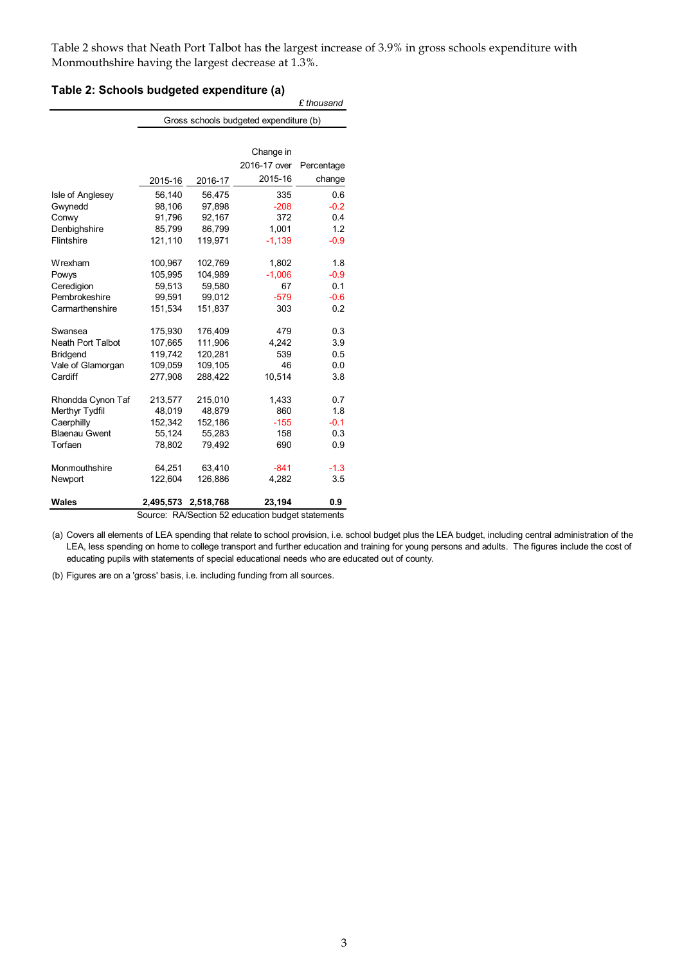Table 2 shows that Neath Port Talbot has the largest increase of 3.9% in gross schools expenditure with Monmouthshire having the largest decrease at 1.3%.

| Table 2: Schools budgeted expenditure (a) |  |
|-------------------------------------------|--|
|-------------------------------------------|--|

|                          |                                        |           |              | £ thousand |  |  |  |  |
|--------------------------|----------------------------------------|-----------|--------------|------------|--|--|--|--|
|                          | Gross schools budgeted expenditure (b) |           |              |            |  |  |  |  |
|                          |                                        |           |              |            |  |  |  |  |
|                          |                                        |           | Change in    |            |  |  |  |  |
|                          |                                        |           | 2016-17 over | Percentage |  |  |  |  |
|                          | 2015-16                                | 2016-17   | 2015-16      | change     |  |  |  |  |
| Isle of Anglesey         | 56,140                                 | 56,475    | 335          | 0.6        |  |  |  |  |
| Gwynedd                  | 98,106                                 | 97,898    | $-208$       | $-0.2$     |  |  |  |  |
| Conwy                    | 91,796                                 | 92,167    | 372          | 0.4        |  |  |  |  |
| Denbighshire             | 85,799                                 | 86,799    | 1,001        | 1.2        |  |  |  |  |
| Flintshire               | 121,110                                | 119,971   | $-1,139$     | $-0.9$     |  |  |  |  |
| Wrexham                  | 100,967                                | 102,769   | 1,802        | 1.8        |  |  |  |  |
| Powys                    | 105,995                                | 104,989   | $-1,006$     | $-0.9$     |  |  |  |  |
| Ceredigion               | 59,513                                 | 59,580    | 67           | 0.1        |  |  |  |  |
| Pembrokeshire            | 99,591                                 | 99,012    | $-579$       | $-0.6$     |  |  |  |  |
| Carmarthenshire          | 151,534                                | 151,837   | 303          | 0.2        |  |  |  |  |
| Swansea                  | 175,930                                | 176,409   | 479          | 0.3        |  |  |  |  |
| <b>Neath Port Talbot</b> | 107,665                                | 111,906   | 4,242        | 3.9        |  |  |  |  |
| <b>Bridgend</b>          | 119,742                                | 120,281   | 539          | 0.5        |  |  |  |  |
| Vale of Glamorgan        | 109.059                                | 109,105   | 46           | 0.0        |  |  |  |  |
| Cardiff                  | 277,908                                | 288,422   | 10,514       | 3.8        |  |  |  |  |
| Rhondda Cynon Taf        | 213,577                                | 215,010   | 1,433        | 0.7        |  |  |  |  |
| Merthyr Tydfil           | 48,019                                 | 48,879    | 860          | 1.8        |  |  |  |  |
| Caerphilly               | 152,342                                | 152,186   | $-155$       | $-0.1$     |  |  |  |  |
| <b>Blaenau Gwent</b>     | 55,124                                 | 55,283    | 158          | 0.3        |  |  |  |  |
| Torfaen                  | 78,802                                 | 79,492    | 690          | 0.9        |  |  |  |  |
| Monmouthshire            | 64,251                                 | 63,410    | $-841$       | $-1.3$     |  |  |  |  |
| Newport                  | 122,604                                | 126,886   | 4,282        | 3.5        |  |  |  |  |
| Wales                    | 2,495,573                              | 2,518,768 | 23,194       | 0.9        |  |  |  |  |

Source: RA/Section 52 education budget statements

(a) Covers all elements of LEA spending that relate to school provision, i.e. school budget plus the LEA budget, including central administration of the LEA, less spending on home to college transport and further education and training for young persons and adults. The figures include the cost of educating pupils with statements of special educational needs who are educated out of county.

(b) Figures are on a 'gross' basis, i.e. including funding from all sources.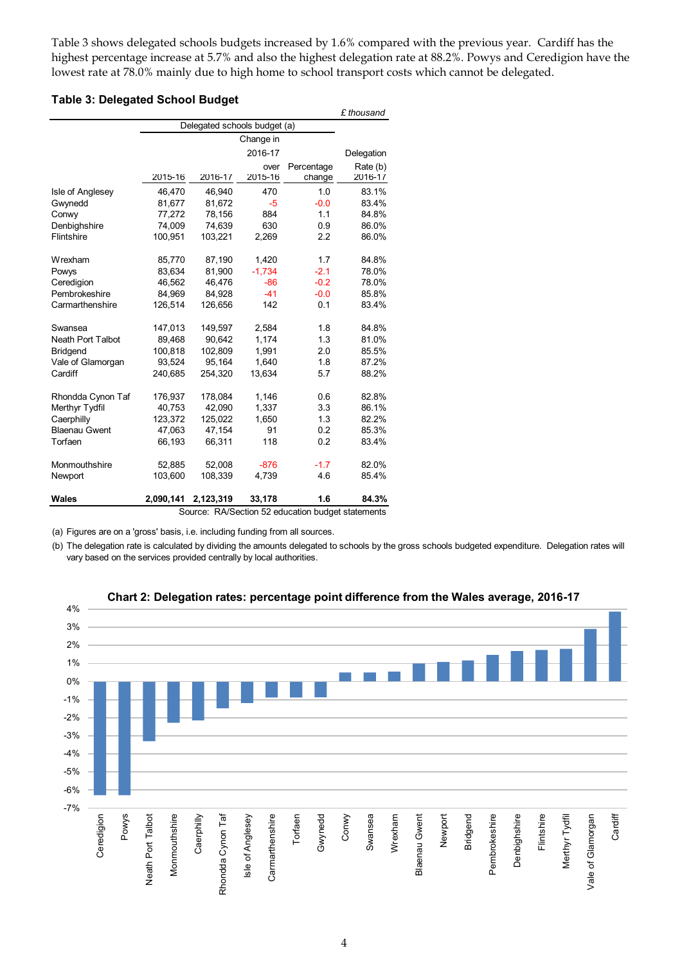Table 3 shows delegated schools budgets increased by 1.6% compared with the previous year. Cardiff has the highest percentage increase at 5.7% and also the highest delegation rate at 88.2%. Powys and Ceredigion have the lowest rate at 78.0% mainly due to high home to school transport costs which cannot be delegated.

#### **Table 3: Delegated School Budget**

|                          |                              |           |           |                                                   | £ thousand |
|--------------------------|------------------------------|-----------|-----------|---------------------------------------------------|------------|
|                          | Delegated schools budget (a) |           |           |                                                   |            |
|                          |                              |           | Change in |                                                   |            |
|                          |                              |           | 2016-17   |                                                   | Delegation |
|                          |                              |           | over      | Percentage                                        | Rate (b)   |
|                          | 2015-16                      | 2016-17   | 2015-16   | change                                            | 2016-17    |
| Isle of Anglesey         | 46,470                       | 46,940    | 470       | 1.0                                               | 83.1%      |
| Gwynedd                  | 81,677                       | 81,672    | -5        | $-0.0$                                            | 83.4%      |
| Conwy                    | 77,272                       | 78,156    | 884       | 1.1                                               | 84.8%      |
| Denbighshire             | 74,009                       | 74,639    | 630       | 0.9                                               | 86.0%      |
| Flintshire               | 100,951                      | 103,221   | 2,269     | 2.2                                               | 86.0%      |
| Wrexham                  | 85,770                       | 87,190    | 1,420     | 1.7                                               | 84.8%      |
| Powys                    | 83,634                       | 81,900    | $-1,734$  | $-2.1$                                            | 78.0%      |
| Ceredigion               | 46,562                       | 46,476    | $-86$     | $-0.2$                                            | 78.0%      |
| Pembrokeshire            | 84,969                       | 84,928    | $-41$     | $-0.0$                                            | 85.8%      |
| Carmarthenshire          | 126,514                      | 126,656   | 142       | 0.1                                               | 83.4%      |
| Swansea                  | 147,013                      | 149,597   | 2,584     | 1.8                                               | 84.8%      |
| <b>Neath Port Talbot</b> | 89,468                       | 90,642    | 1,174     | 1.3                                               | 81.0%      |
| <b>Bridgend</b>          | 100,818                      | 102,809   | 1,991     | 2.0                                               | 85.5%      |
| Vale of Glamorgan        | 93,524                       | 95,164    | 1,640     | 1.8                                               | 87.2%      |
| Cardiff                  | 240,685                      | 254,320   | 13,634    | 5.7                                               | 88.2%      |
| Rhondda Cynon Taf        | 176,937                      | 178,084   | 1,146     | 0.6                                               | 82.8%      |
| Merthyr Tydfil           | 40,753                       | 42,090    | 1,337     | 3.3                                               | 86.1%      |
| Caerphilly               | 123,372                      | 125,022   | 1,650     | 1.3                                               | 82.2%      |
| <b>Blaenau Gwent</b>     | 47,063                       | 47,154    | 91        | 0.2                                               | 85.3%      |
| Torfaen                  | 66,193                       | 66,311    | 118       | 0.2                                               | 83.4%      |
| Monmouthshire            | 52,885                       | 52,008    | $-876$    | $-1.7$                                            | 82.0%      |
| Newport                  | 103,600                      | 108,339   | 4,739     | 4.6                                               | 85.4%      |
| Wales                    | 2,090,141                    | 2,123,319 | 33,178    | 1.6                                               | 84.3%      |
|                          |                              |           |           | Source: RA/Section 52 education budget statements |            |

(a) Figures are on a 'gross' basis, i.e. including funding from all sources.

(b) The delegation rate is calculated by dividing the amounts delegated to schools by the gross schools budgeted expenditure. Delegation rates will vary based on the services provided centrally by local authorities.



**Chart 2: Delegation rates: percentage point difference from the Wales average, 2016-17**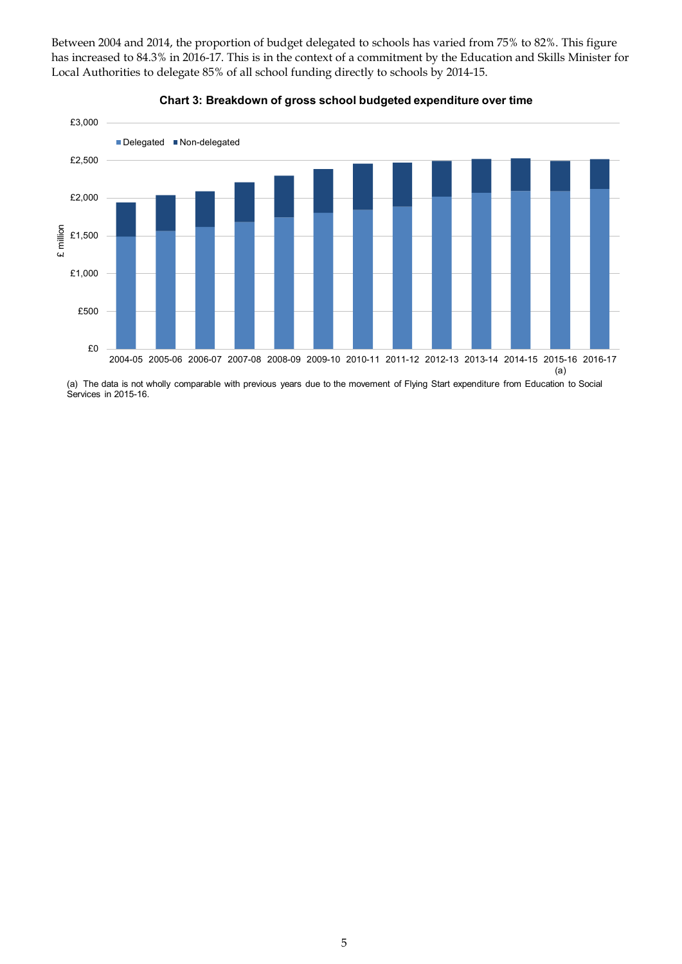Between 2004 and 2014, the proportion of budget delegated to schools has varied from 75% to 82%. This figure has increased to 84.3% in 2016-17. This is in the context of a commitment by the Education and Skills Minister for Local Authorities to delegate 85% of all school funding directly to schools by 2014-15.





(a) The data is not wholly comparable with previous years due to the movement of Flying Start expenditure from Education to Social Services in 2015-16.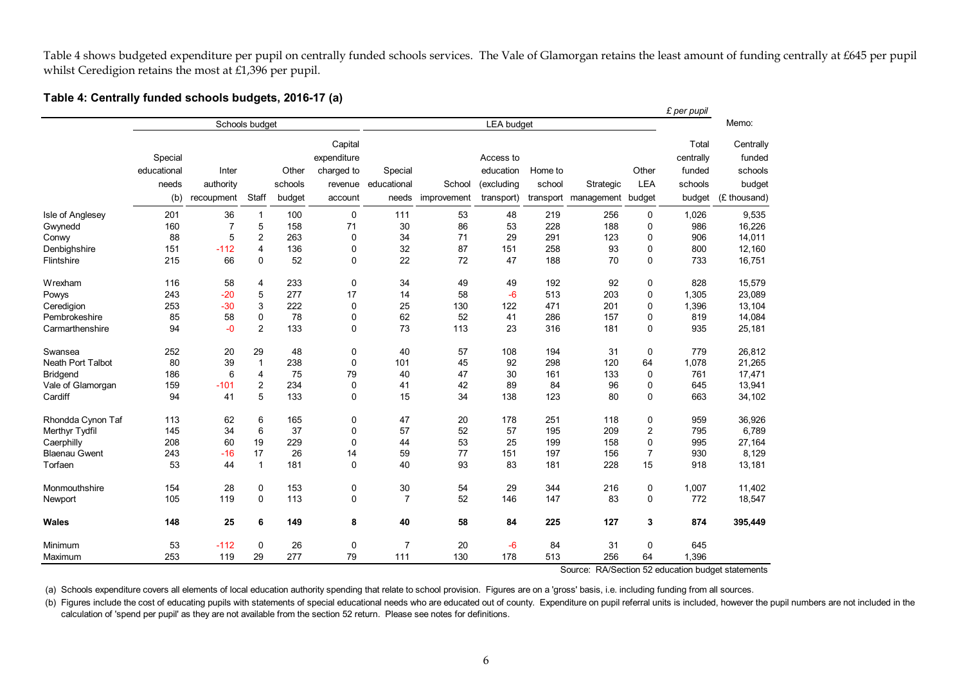Table 4 shows budgeted expenditure per pupil on centrally funded schools services. The Vale of Glamorgan retains the least amount of funding centrally at £645 per pupil whilst Ceredigion retains the most at £1,396 per pupil.

#### **Table 4: Centrally funded schools budgets, 2016-17 (a)**

|                          |                |                |                         |         |             |                   |             |            |         |                             |                | £ per pupil |              |
|--------------------------|----------------|----------------|-------------------------|---------|-------------|-------------------|-------------|------------|---------|-----------------------------|----------------|-------------|--------------|
|                          | Schools budget |                |                         |         |             | <b>LEA</b> budget |             |            |         |                             |                |             | Memo:        |
|                          |                |                |                         |         | Capital     |                   |             |            |         |                             |                | Total       | Centrally    |
|                          | Special        |                |                         |         | expenditure |                   |             | Access to  |         |                             |                | centrally   | funded       |
|                          | educational    | Inter          |                         | Other   | charged to  | Special           |             | education  | Home to |                             | Other          | funded      | schools      |
|                          | needs          | authority      |                         | schools | revenue     | educational       | School      | (excluding | school  | Strategic                   | <b>LEA</b>     | schools     | budget       |
|                          | (b)            | recoupment     | Staff                   | budget  | account     | needs             | improvement | transport) |         | transport management budget |                | budget      | (£ thousand) |
| Isle of Anglesey         | 201            | 36             | $\mathbf{1}$            | 100     | $\mathbf 0$ | 111               | 53          | 48         | 219     | 256                         | 0              | 1,026       | 9,535        |
| Gwynedd                  | 160            | $\overline{7}$ | 5                       | 158     | 71          | $30\,$            | 86          | 53         | 228     | 188                         | 0              | 986         | 16,226       |
| Conwy                    | 88             | 5              | $\overline{2}$          | 263     | 0           | 34                | 71          | 29         | 291     | 123                         | 0              | 906         | 14,011       |
| Denbighshire             | 151            | $-112$         | $\overline{4}$          | 136     | 0           | 32                | 87          | 151        | 258     | 93                          | 0              | 800         | 12,160       |
| Flintshire               | 215            | 66             | $\Omega$                | 52      | 0           | 22                | 72          | 47         | 188     | 70                          | $\mathbf 0$    | 733         | 16,751       |
| Wrexham                  | 116            | 58             | 4                       | 233     | 0           | 34                | 49          | 49         | 192     | 92                          | 0              | 828         | 15,579       |
| Powys                    | 243            | $-20$          | 5                       | 277     | 17          | 14                | 58          | $-6$       | 513     | 203                         | 0              | 1,305       | 23,089       |
| Ceredigion               | 253            | $-30$          | 3                       | 222     | 0           | 25                | 130         | 122        | 471     | 201                         | 0              | 1,396       | 13,104       |
| Pembrokeshire            | 85             | 58             | $\pmb{0}$               | 78      | 0           | 62                | 52          | 41         | 286     | 157                         | 0              | 819         | 14,084       |
| Carmarthenshire          | 94             | $-0$           | 2                       | 133     | 0           | 73                | 113         | 23         | 316     | 181                         | 0              | 935         | 25,181       |
| Swansea                  | 252            | 20             | 29                      | 48      | 0           | 40                | 57          | 108        | 194     | 31                          | 0              | 779         | 26,812       |
| <b>Neath Port Talbot</b> | 80             | 39             | $\mathbf{1}$            | 238     | $\mathbf 0$ | 101               | 45          | 92         | 298     | 120                         | 64             | 1,078       | 21,265       |
| <b>Bridgend</b>          | 186            | 6              | $\overline{\mathbf{4}}$ | 75      | 79          | 40                | 47          | 30         | 161     | 133                         | 0              | 761         | 17,471       |
| Vale of Glamorgan        | 159            | $-101$         | $\overline{2}$          | 234     | 0           | 41                | 42          | 89         | 84      | 96                          | 0              | 645         | 13,941       |
| Cardiff                  | 94             | 41             | 5                       | 133     | 0           | 15                | 34          | 138        | 123     | 80                          | 0              | 663         | 34,102       |
| Rhondda Cynon Taf        | 113            | 62             | 6                       | 165     | 0           | 47                | 20          | 178        | 251     | 118                         | 0              | 959         | 36,926       |
| Merthyr Tydfil           | 145            | 34             | 6                       | 37      | 0           | 57                | 52          | 57         | 195     | 209                         | $\overline{2}$ | 795         | 6,789        |
| Caerphilly               | 208            | 60             | 19                      | 229     | $\mathbf 0$ | 44                | 53          | 25         | 199     | 158                         | 0              | 995         | 27,164       |
| <b>Blaenau Gwent</b>     | 243            | $-16$          | 17                      | 26      | 14          | 59                | 77          | 151        | 197     | 156                         | $\overline{7}$ | 930         | 8,129        |
| Torfaen                  | 53             | 44             | $\mathbf{1}$            | 181     | 0           | 40                | 93          | 83         | 181     | 228                         | 15             | 918         | 13,181       |
| Monmouthshire            | 154            | 28             | $\mathbf 0$             | 153     | 0           | 30                | 54          | 29         | 344     | 216                         | 0              | 1,007       | 11,402       |
| Newport                  | 105            | 119            | $\mathbf 0$             | 113     | 0           | $\overline{7}$    | 52          | 146        | 147     | 83                          | 0              | 772         | 18,547       |
| <b>Wales</b>             | 148            | 25             | 6                       | 149     | 8           | 40                | 58          | 84         | 225     | 127                         | 3              | 874         | 395,449      |
| Minimum                  | 53             | $-112$         | $\mathbf 0$             | 26      | 0           | $\overline{7}$    | 20          | $-6$       | 84      | 31                          | 0              | 645         |              |
| Maximum                  | 253            | 119            | 29                      | 277     | 79          | 111               | 130         | 178        | 513     | 256                         | 64             | 1,396       |              |

Source: RA/Section 52 education budget statements

(a) Schools expenditure covers all elements of local education authority spending that relate to school provision. Figures are on a 'gross' basis, i.e. including funding from all sources.

(b) Figures include the cost of educating pupils with statements of special educational needs who are educated out of county. Expenditure on pupil referral units is included, however the pupil numbers are not included in the calculation of 'spend per pupil' as they are not available from the section 52 return. Please see notes for definitions.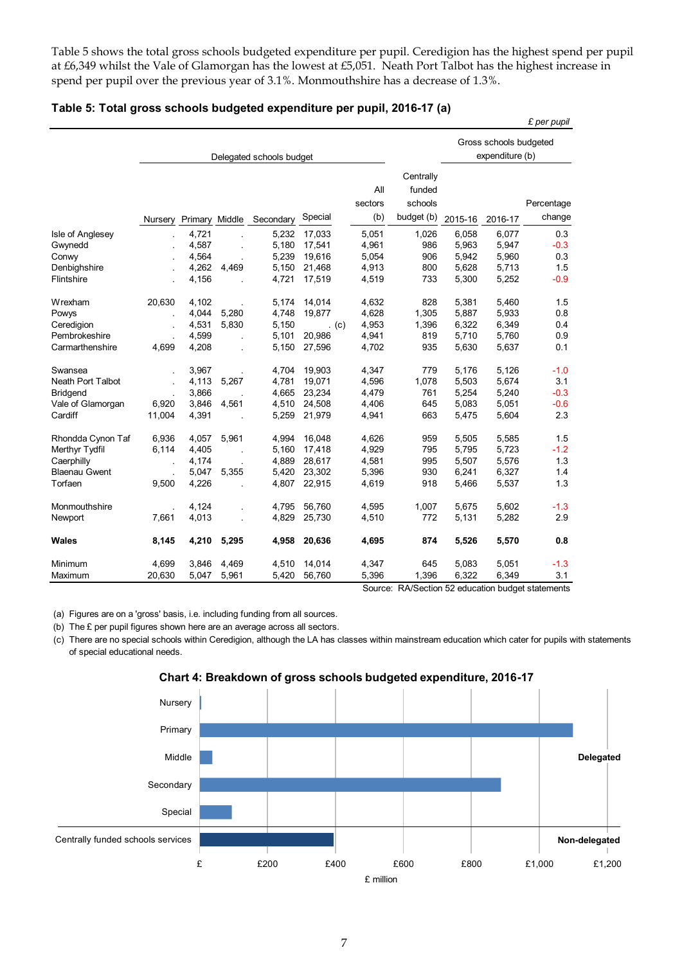Table 5 shows the total gross schools budgeted expenditure per pupil. Ceredigion has the highest spend per pupil at £6,349 whilst the Vale of Glamorgan has the lowest at £5,051. Neath Port Talbot has the highest increase in spend per pupil over the previous year of 3.1%. Monmouthshire has a decrease of 1.3%.

|                      |                          |                |       |           |         |                       |                                              |         |                                           | £ per pupil          |  |
|----------------------|--------------------------|----------------|-------|-----------|---------|-----------------------|----------------------------------------------|---------|-------------------------------------------|----------------------|--|
|                      | Delegated schools budget |                |       |           |         |                       |                                              |         | Gross schools budgeted<br>expenditure (b) |                      |  |
|                      | Nursery                  | Primary Middle |       | Secondary | Special | All<br>sectors<br>(b) | Centrally<br>funded<br>schools<br>budget (b) | 2015-16 | 2016-17                                   | Percentage<br>change |  |
| Isle of Anglesey     |                          | 4,721          |       | 5,232     | 17,033  | 5,051                 | 1,026                                        | 6,058   | 6,077                                     | 0.3                  |  |
| Gwynedd              |                          | 4,587          |       | 5,180     | 17,541  | 4,961                 | 986                                          | 5,963   | 5,947                                     | $-0.3$               |  |
| Conwy                |                          | 4,564          |       | 5,239     | 19,616  | 5,054                 | 906                                          | 5,942   | 5,960                                     | 0.3                  |  |
| Denbighshire         |                          | 4,262          | 4,469 | 5,150     | 21,468  | 4,913                 | 800                                          | 5,628   | 5,713                                     | 1.5                  |  |
| Flintshire           |                          | 4,156          |       | 4,721     | 17,519  | 4,519                 | 733                                          | 5,300   | 5,252                                     | $-0.9$               |  |
| Wrexham              | 20,630                   | 4,102          |       | 5,174     | 14,014  | 4,632                 | 828                                          | 5,381   | 5,460                                     | 1.5                  |  |
| Powys                | k,                       | 4,044          | 5,280 | 4,748     | 19,877  | 4,628                 | 1,305                                        | 5,887   | 5,933                                     | 0.8                  |  |
| Ceredigion           |                          | 4,531          | 5,830 | 5,150     | . $(c)$ | 4,953                 | 1,396                                        | 6,322   | 6,349                                     | 0.4                  |  |
| Pembrokeshire        |                          | 4,599          |       | 5,101     | 20,986  | 4,941                 | 819                                          | 5,710   | 5,760                                     | 0.9                  |  |
| Carmarthenshire      | 4,699                    | 4,208          |       | 5,150     | 27,596  | 4,702                 | 935                                          | 5,630   | 5,637                                     | 0.1                  |  |
| Swansea              |                          | 3,967          |       | 4,704     | 19,903  | 4,347                 | 779                                          | 5,176   | 5,126                                     | $-1.0$               |  |
| Neath Port Talbot    |                          | 4,113          | 5,267 | 4,781     | 19,071  | 4,596                 | 1,078                                        | 5,503   | 5,674                                     | 3.1                  |  |
| <b>Bridgend</b>      |                          | 3,866          |       | 4,665     | 23,234  | 4,479                 | 761                                          | 5,254   | 5,240                                     | $-0.3$               |  |
| Vale of Glamorgan    | 6,920                    | 3,846          | 4,561 | 4,510     | 24,508  | 4,406                 | 645                                          | 5,083   | 5,051                                     | $-0.6$               |  |
| Cardiff              | 11,004                   | 4,391          |       | 5,259     | 21,979  | 4,941                 | 663                                          | 5,475   | 5,604                                     | 2.3                  |  |
| Rhondda Cynon Taf    | 6,936                    | 4,057          | 5,961 | 4,994     | 16,048  | 4,626                 | 959                                          | 5,505   | 5,585                                     | 1.5                  |  |
| Merthyr Tydfil       | 6,114                    | 4,405          |       | 5,160     | 17,418  | 4,929                 | 795                                          | 5,795   | 5,723                                     | $-1.2$               |  |
| Caerphilly           | ÷.                       | 4.174          |       | 4,889     | 28,617  | 4,581                 | 995                                          | 5,507   | 5,576                                     | 1.3                  |  |
| <b>Blaenau Gwent</b> |                          | 5,047          | 5,355 | 5,420     | 23,302  | 5,396                 | 930                                          | 6,241   | 6,327                                     | 1.4                  |  |
| Torfaen              | 9,500                    | 4,226          |       | 4,807     | 22,915  | 4,619                 | 918                                          | 5,466   | 5,537                                     | 1.3                  |  |
| Monmouthshire        |                          | 4,124          |       | 4,795     | 56,760  | 4,595                 | 1,007                                        | 5,675   | 5,602                                     | $-1.3$               |  |
| Newport              | 7,661                    | 4,013          |       | 4,829     | 25,730  | 4,510                 | 772                                          | 5,131   | 5,282                                     | 2.9                  |  |
| Wales                | 8,145                    | 4,210          | 5,295 | 4,958     | 20,636  | 4,695                 | 874                                          | 5,526   | 5,570                                     | 0.8                  |  |
| Minimum              | 4,699                    | 3,846          | 4,469 | 4,510     | 14,014  | 4,347                 | 645                                          | 5,083   | 5,051                                     | $-1.3$               |  |
| Maximum              | 20,630                   | 5,047          | 5,961 | 5,420     | 56,760  | 5,396                 | 1,396                                        | 6,322   | 6,349                                     | 3.1                  |  |

#### **Table 5: Total gross schools budgeted expenditure per pupil, 2016-17 (a)**

Source: RA/Section 52 education budget statements

(a) Figures are on a 'gross' basis, i.e. including funding from all sources.

(b) The £ per pupil figures shown here are an average across all sectors.

(c) There are no special schools within Ceredigion, although the LA has classes within mainstream education which cater for pupils with statements of special educational needs.



**Chart 4: Breakdown of gross schools budgeted expenditure, 2016-17**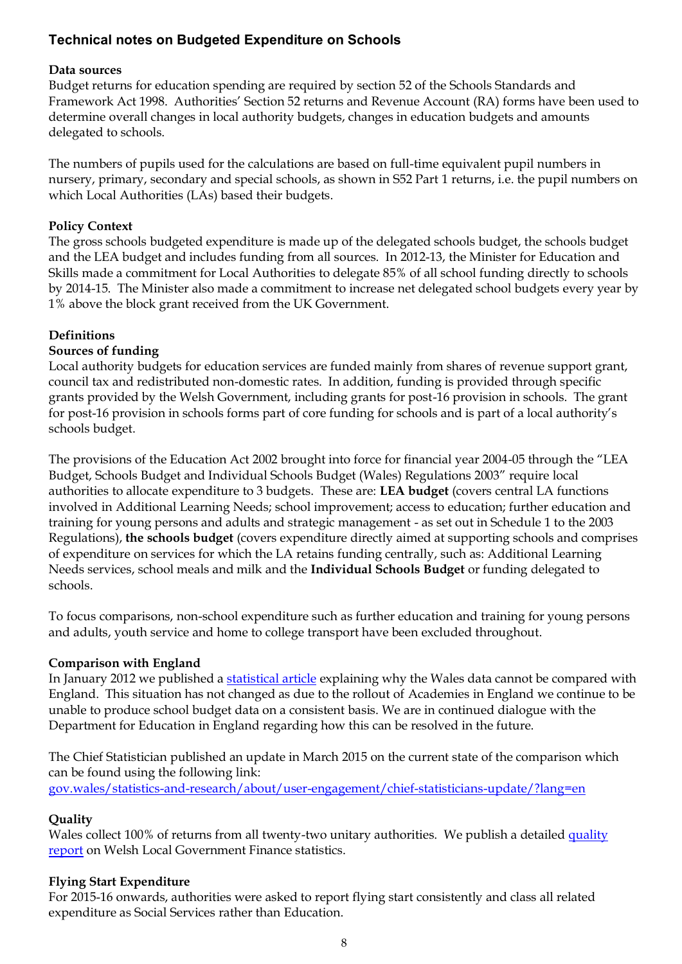## **Technical notes on Budgeted Expenditure on Schools**

#### **Data sources**

Budget returns for education spending are required by section 52 of the Schools Standards and Framework Act 1998. Authorities' Section 52 returns and Revenue Account (RA) forms have been used to determine overall changes in local authority budgets, changes in education budgets and amounts delegated to schools.

The numbers of pupils used for the calculations are based on full-time equivalent pupil numbers in nursery, primary, secondary and special schools, as shown in S52 Part 1 returns, i.e. the pupil numbers on which Local Authorities (LAs) based their budgets.

#### **Policy Context**

The gross schools budgeted expenditure is made up of the delegated schools budget, the schools budget and the LEA budget and includes funding from all sources. In 2012-13, the Minister for Education and Skills made a commitment for Local Authorities to delegate 85% of all school funding directly to schools by 2014-15. The Minister also made a commitment to increase net delegated school budgets every year by 1% above the block grant received from the UK Government.

#### **Definitions**

#### **Sources of funding**

Local authority budgets for education services are funded mainly from shares of revenue support grant, council tax and redistributed non-domestic rates. In addition, funding is provided through specific grants provided by the Welsh Government, including grants for post-16 provision in schools. The grant for post-16 provision in schools forms part of core funding for schools and is part of a local authority's schools budget.

The provisions of the Education Act 2002 brought into force for financial year 2004-05 through the "LEA Budget, Schools Budget and Individual Schools Budget (Wales) Regulations 2003" require local authorities to allocate expenditure to 3 budgets. These are: **LEA budget** (covers central LA functions involved in Additional Learning Needs; school improvement; access to education; further education and training for young persons and adults and strategic management - as set out in Schedule 1 to the 2003 Regulations), **the schools budget** (covers expenditure directly aimed at supporting schools and comprises of expenditure on services for which the LA retains funding centrally, such as: Additional Learning Needs services, school meals and milk and the **Individual Schools Budget** or funding delegated to schools.

To focus comparisons, non-school expenditure such as further education and training for young persons and adults, youth service and home to college transport have been excluded throughout.

#### **Comparison with England**

In January 2012 we published a [statistical article](http://gov.wales/statistics-and-research/local-authortiy-budgets-education/?lang=en) explaining why the Wales data cannot be compared with England. This situation has not changed as due to the rollout of Academies in England we continue to be unable to produce school budget data on a consistent basis. We are in continued dialogue with the Department for Education in England regarding how this can be resolved in the future.

The Chief Statistician published an update in March 2015 on the current state of the comparison which can be found using the following link: [gov.wales/statistics-and-research/about/user-engagement/chief-statisticians-update/?lang=en](http://gov.wales/statistics-and-research/about/user-engagement/chief-statisticians-update/?lang=en)

#### **Quality**

Wales collect 100% of returns from all twenty-two unitary authorities. We publish a detailed quality [report](http://gov.wales/statistics-and-research/council-tax-dwellings/local-government-finance-statistics-quality-report/?lang=en) on Welsh Local Government Finance statistics.

#### **Flying Start Expenditure**

For 2015-16 onwards, authorities were asked to report flying start consistently and class all related expenditure as Social Services rather than Education.